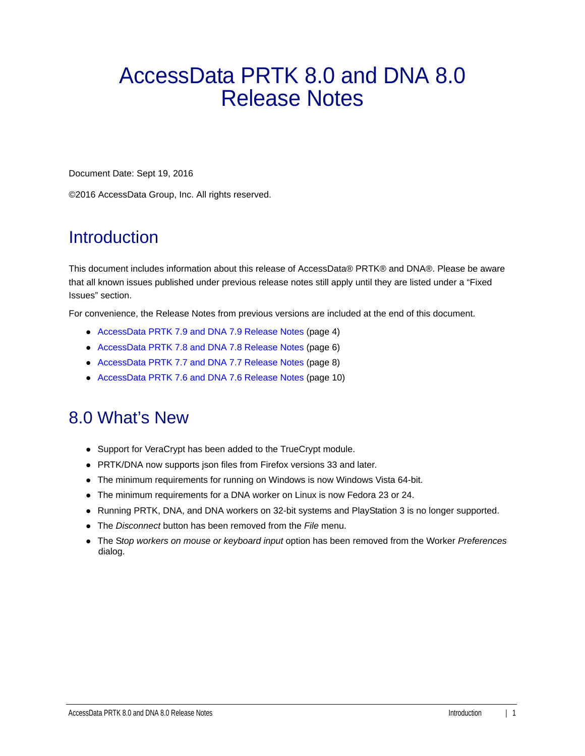# AccessData PRTK 8.0 and DNA 8.0 Release Notes

Document Date: Sept 19, 2016

©2016 AccessData Group, Inc. All rights reserved.

#### **Introduction**

This document includes information about this release of AccessData® PRTK® and DNA®. Please be aware that all known issues published under previous release notes still apply until they are listed under a "Fixed Issues" section.

For convenience, the Release Notes from previous versions are included at the end of this document.

- [AccessData PRTK 7.9 and DNA 7.9 Release Notes \(page 4\)](#page-3-0)
- [AccessData PRTK 7.8 and DNA 7.8 Release Notes \(page 6\)](#page-5-0)
- [AccessData PRTK 7.7 and DNA 7.7 Release Notes \(page 8\)](#page-7-0)
- [AccessData PRTK 7.6 and DNA 7.6 Release Notes \(page 10\)](#page-9-0)

#### 8.0 What's New

- Support for VeraCrypt has been added to the TrueCrypt module.
- PRTK/DNA now supports json files from Firefox versions 33 and later.
- The minimum requirements for running on Windows is now Windows Vista 64-bit.
- The minimum requirements for a DNA worker on Linux is now Fedora 23 or 24.
- Running PRTK, DNA, and DNA workers on 32-bit systems and PlayStation 3 is no longer supported.
- The *Disconnect* button has been removed from the *File* menu.
- The S*top workers on mouse or keyboard input* option has been removed from the Worker *Preferences* dialog.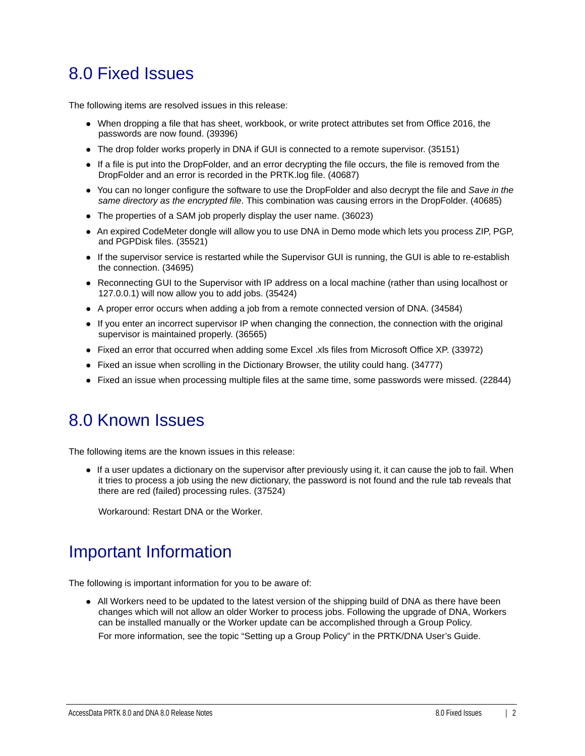#### 8.0 Fixed Issues

The following items are resolved issues in this release:

- When dropping a file that has sheet, workbook, or write protect attributes set from Office 2016, the passwords are now found. (39396)
- The drop folder works properly in DNA if GUI is connected to a remote supervisor. (35151)
- If a file is put into the DropFolder, and an error decrypting the file occurs, the file is removed from the DropFolder and an error is recorded in the PRTK.log file. (40687)
- You can no longer configure the software to use the DropFolder and also decrypt the file and *Save in the same directory as the encrypted file*. This combination was causing errors in the DropFolder. (40685)
- The properties of a SAM job properly display the user name. (36023)
- An expired CodeMeter dongle will allow you to use DNA in Demo mode which lets you process ZIP, PGP, and PGPDisk files. (35521)
- If the supervisor service is restarted while the Supervisor GUI is running, the GUI is able to re-establish the connection. (34695)
- Reconnecting GUI to the Supervisor with IP address on a local machine (rather than using localhost or 127.0.0.1) will now allow you to add jobs. (35424)
- A proper error occurs when adding a job from a remote connected version of DNA. (34584)
- If you enter an incorrect supervisor IP when changing the connection, the connection with the original supervisor is maintained properly. (36565)
- Fixed an error that occurred when adding some Excel .xls files from Microsoft Office XP. (33972)
- Fixed an issue when scrolling in the Dictionary Browser, the utility could hang. (34777)
- Fixed an issue when processing multiple files at the same time, some passwords were missed. (22844)

#### 8.0 Known Issues

The following items are the known issues in this release:

If a user updates a dictionary on the supervisor after previously using it, it can cause the job to fail. When it tries to process a job using the new dictionary, the password is not found and the rule tab reveals that there are red (failed) processing rules. (37524)

Workaround: Restart DNA or the Worker.

#### Important Information

The following is important information for you to be aware of:

All Workers need to be updated to the latest version of the shipping build of DNA as there have been changes which will not allow an older Worker to process jobs. Following the upgrade of DNA, Workers can be installed manually or the Worker update can be accomplished through a Group Policy.

For more information, see the topic "Setting up a Group Policy" in the PRTK/DNA User's Guide.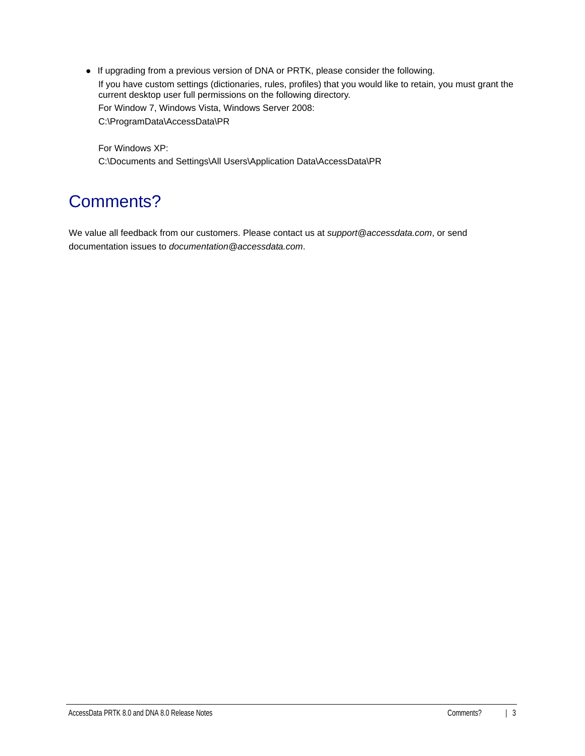If upgrading from a previous version of DNA or PRTK, please consider the following. If you have custom settings (dictionaries, rules, profiles) that you would like to retain, you must grant the current desktop user full permissions on the following directory. For Window 7, Windows Vista, Windows Server 2008: C:\ProgramData\AccessData\PR

For Windows XP: C:\Documents and Settings\All Users\Application Data\AccessData\PR

# Comments?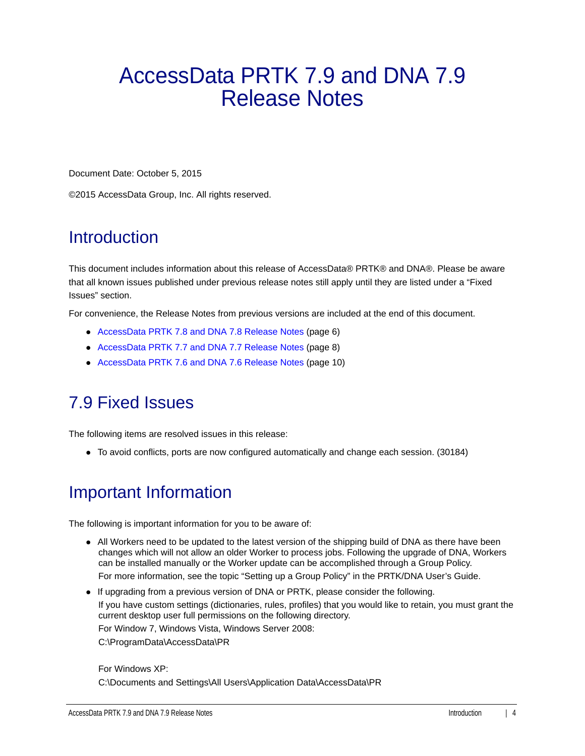# <span id="page-3-0"></span>AccessData PRTK 7.9 and DNA 7.9 Release Notes

Document Date: October 5, 2015

©2015 AccessData Group, Inc. All rights reserved.

#### **Introduction**

This document includes information about this release of AccessData® PRTK® and DNA®. Please be aware that all known issues published under previous release notes still apply until they are listed under a "Fixed Issues" section.

For convenience, the Release Notes from previous versions are included at the end of this document.

- [AccessData PRTK 7.8 and DNA 7.8 Release Notes \(page 6\)](#page-5-0)
- [AccessData PRTK 7.7 and DNA 7.7 Release Notes \(page 8\)](#page-7-0)
- [AccessData PRTK 7.6 and DNA 7.6 Release Notes \(page 10\)](#page-9-0)

#### 7.9 Fixed Issues

The following items are resolved issues in this release:

To avoid conflicts, ports are now configured automatically and change each session. (30184)

#### Important Information

The following is important information for you to be aware of:

- All Workers need to be updated to the latest version of the shipping build of DNA as there have been changes which will not allow an older Worker to process jobs. Following the upgrade of DNA, Workers can be installed manually or the Worker update can be accomplished through a Group Policy. For more information, see the topic "Setting up a Group Policy" in the PRTK/DNA User's Guide.
- If upgrading from a previous version of DNA or PRTK, please consider the following. If you have custom settings (dictionaries, rules, profiles) that you would like to retain, you must grant the current desktop user full permissions on the following directory. For Window 7, Windows Vista, Windows Server 2008: C:\ProgramData\AccessData\PR

#### For Windows XP: C:\Documents and Settings\All Users\Application Data\AccessData\PR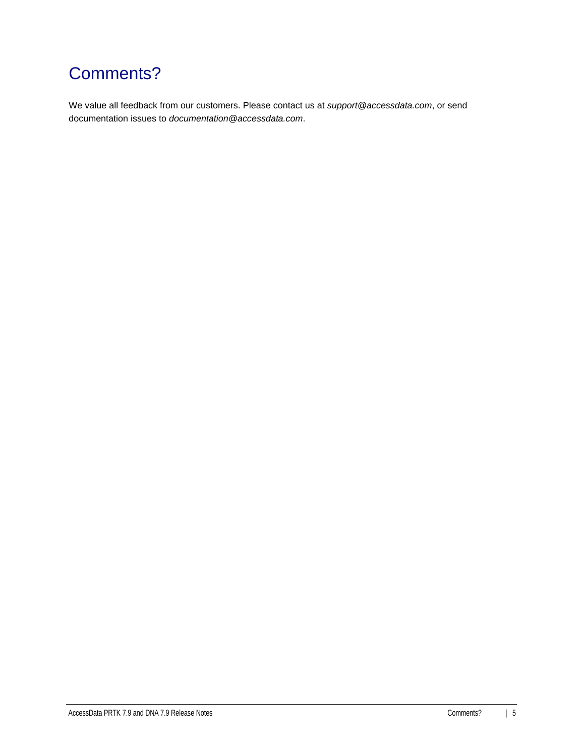# Comments?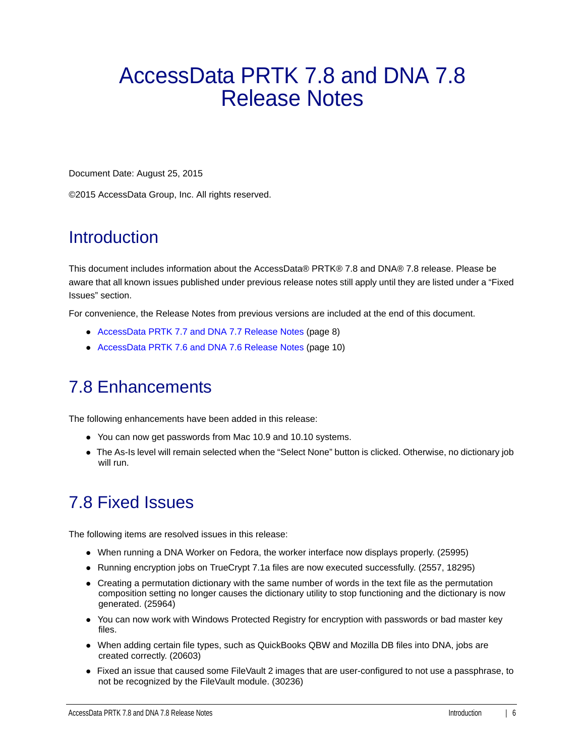# <span id="page-5-0"></span>AccessData PRTK 7.8 and DNA 7.8 Release Notes

Document Date: August 25, 2015

©2015 AccessData Group, Inc. All rights reserved.

#### **Introduction**

This document includes information about the AccessData® PRTK® 7.8 and DNA® 7.8 release. Please be aware that all known issues published under previous release notes still apply until they are listed under a "Fixed Issues" section.

For convenience, the Release Notes from previous versions are included at the end of this document.

- [AccessData PRTK 7.7 and DNA 7.7 Release Notes \(page 8\)](#page-7-0)
- [AccessData PRTK 7.6 and DNA 7.6 Release Notes \(page 10\)](#page-9-0)

#### 7.8 Enhancements

The following enhancements have been added in this release:

- You can now get passwords from Mac 10.9 and 10.10 systems.
- The As-Is level will remain selected when the "Select None" button is clicked. Otherwise, no dictionary job will run.

### 7.8 Fixed Issues

The following items are resolved issues in this release:

- When running a DNA Worker on Fedora, the worker interface now displays properly. (25995)
- Running encryption jobs on TrueCrypt 7.1a files are now executed successfully. (2557, 18295)
- Creating a permutation dictionary with the same number of words in the text file as the permutation composition setting no longer causes the dictionary utility to stop functioning and the dictionary is now generated. (25964)
- You can now work with Windows Protected Registry for encryption with passwords or bad master key files.
- When adding certain file types, such as QuickBooks QBW and Mozilla DB files into DNA, jobs are created correctly. (20603)
- Fixed an issue that caused some FileVault 2 images that are user-configured to not use a passphrase, to not be recognized by the FileVault module. (30236)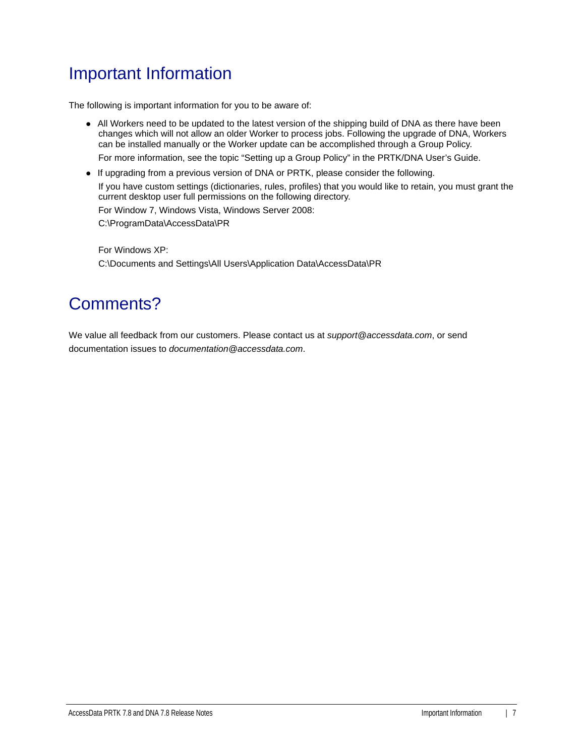### Important Information

The following is important information for you to be aware of:

All Workers need to be updated to the latest version of the shipping build of DNA as there have been changes which will not allow an older Worker to process jobs. Following the upgrade of DNA, Workers can be installed manually or the Worker update can be accomplished through a Group Policy.

For more information, see the topic "Setting up a Group Policy" in the PRTK/DNA User's Guide.

If upgrading from a previous version of DNA or PRTK, please consider the following.

If you have custom settings (dictionaries, rules, profiles) that you would like to retain, you must grant the current desktop user full permissions on the following directory.

For Window 7, Windows Vista, Windows Server 2008:

C:\ProgramData\AccessData\PR

For Windows XP: C:\Documents and Settings\All Users\Application Data\AccessData\PR

### Comments?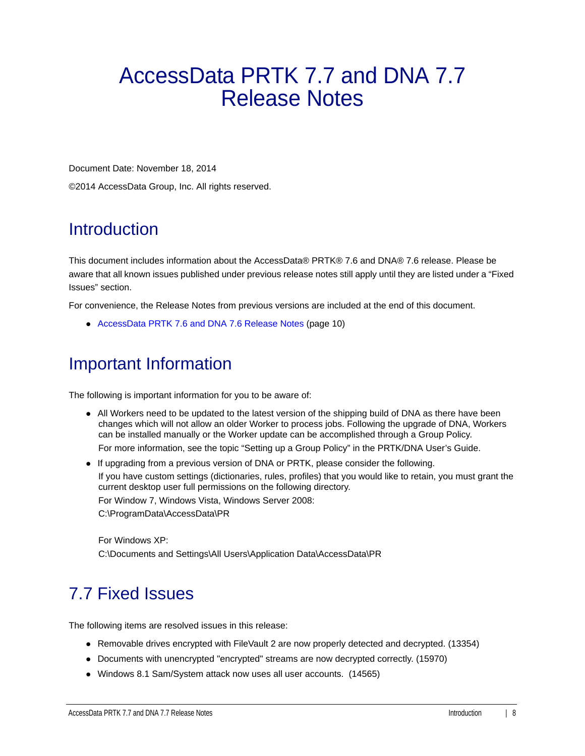# <span id="page-7-0"></span>AccessData PRTK 7.7 and DNA 7.7 Release Notes

Document Date: November 18, 2014

©2014 AccessData Group, Inc. All rights reserved.

### **Introduction**

This document includes information about the AccessData® PRTK® 7.6 and DNA® 7.6 release. Please be aware that all known issues published under previous release notes still apply until they are listed under a "Fixed Issues" section.

For convenience, the Release Notes from previous versions are included at the end of this document.

[AccessData PRTK 7.6 and DNA 7.6 Release Notes \(page 10\)](#page-9-0)

#### Important Information

The following is important information for you to be aware of:

All Workers need to be updated to the latest version of the shipping build of DNA as there have been changes which will not allow an older Worker to process jobs. Following the upgrade of DNA, Workers can be installed manually or the Worker update can be accomplished through a Group Policy.

For more information, see the topic "Setting up a Group Policy" in the PRTK/DNA User's Guide.

If upgrading from a previous version of DNA or PRTK, please consider the following.

If you have custom settings (dictionaries, rules, profiles) that you would like to retain, you must grant the current desktop user full permissions on the following directory.

For Window 7, Windows Vista, Windows Server 2008:

C:\ProgramData\AccessData\PR

For Windows XP: C:\Documents and Settings\All Users\Application Data\AccessData\PR

# 7.7 Fixed Issues

The following items are resolved issues in this release:

- Removable drives encrypted with FileVault 2 are now properly detected and decrypted. (13354)
- Documents with unencrypted "encrypted" streams are now decrypted correctly. (15970)
- Windows 8.1 Sam/System attack now uses all user accounts. (14565)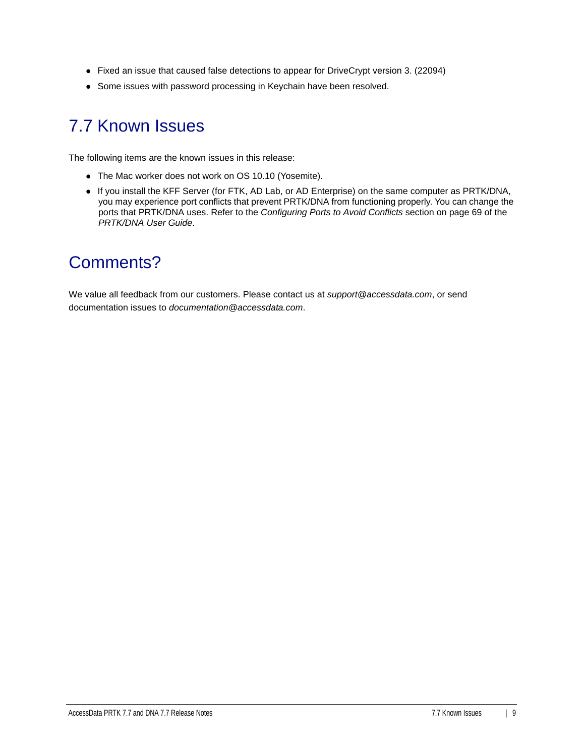- Fixed an issue that caused false detections to appear for DriveCrypt version 3. (22094)
- Some issues with password processing in Keychain have been resolved.

#### 7.7 Known Issues

The following items are the known issues in this release:

- The Mac worker does not work on OS 10.10 (Yosemite).
- If you install the KFF Server (for FTK, AD Lab, or AD Enterprise) on the same computer as PRTK/DNA, you may experience port conflicts that prevent PRTK/DNA from functioning properly. You can change the ports that PRTK/DNA uses. Refer to the *Configuring Ports to Avoid Conflicts* section on page 69 of the *PRTK/DNA User Guide*.

#### Comments?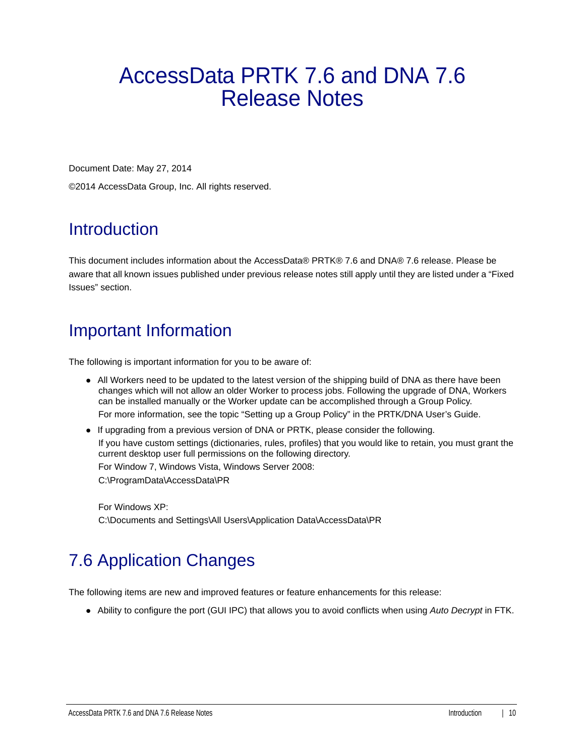# <span id="page-9-0"></span>AccessData PRTK 7.6 and DNA 7.6 Release Notes

Document Date: May 27, 2014

©2014 AccessData Group, Inc. All rights reserved.

## Introduction

This document includes information about the AccessData® PRTK® 7.6 and DNA® 7.6 release. Please be aware that all known issues published under previous release notes still apply until they are listed under a "Fixed Issues" section.

## Important Information

The following is important information for you to be aware of:

- All Workers need to be updated to the latest version of the shipping build of DNA as there have been changes which will not allow an older Worker to process jobs. Following the upgrade of DNA, Workers can be installed manually or the Worker update can be accomplished through a Group Policy. For more information, see the topic "Setting up a Group Policy" in the PRTK/DNA User's Guide.
- If upgrading from a previous version of DNA or PRTK, please consider the following. If you have custom settings (dictionaries, rules, profiles) that you would like to retain, you must grant the current desktop user full permissions on the following directory. For Window 7, Windows Vista, Windows Server 2008: C:\ProgramData\AccessData\PR

For Windows XP: C:\Documents and Settings\All Users\Application Data\AccessData\PR

# 7.6 Application Changes

The following items are new and improved features or feature enhancements for this release:

Ability to configure the port (GUI IPC) that allows you to avoid conflicts when using *Auto Decrypt* in FTK.